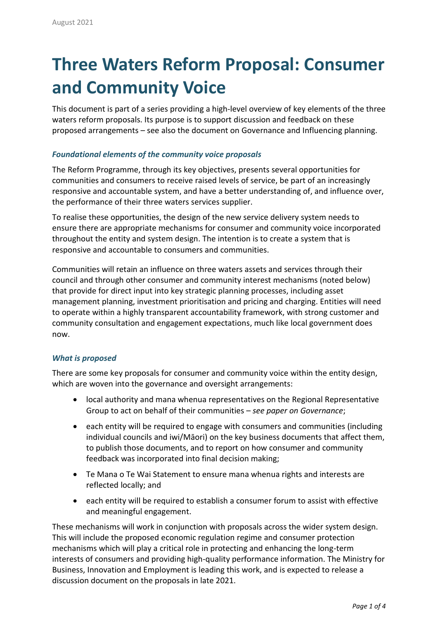# **Three Waters Reform Proposal: Consumer and Community Voice**

This document is part of a series providing a high-level overview of key elements of the three waters reform proposals. Its purpose is to support discussion and feedback on these proposed arrangements – see also the document on Governance and Influencing planning.

# *Foundational elements of the community voice proposals*

The Reform Programme, through its key objectives, presents several opportunities for communities and consumers to receive raised levels of service, be part of an increasingly responsive and accountable system, and have a better understanding of, and influence over, the performance of their three waters services supplier.

To realise these opportunities, the design of the new service delivery system needs to ensure there are appropriate mechanisms for consumer and community voice incorporated throughout the entity and system design. The intention is to create a system that is responsive and accountable to consumers and communities.

Communities will retain an influence on three waters assets and services through their council and through other consumer and community interest mechanisms (noted below) that provide for direct input into key strategic planning processes, including asset management planning, investment prioritisation and pricing and charging. Entities will need to operate within a highly transparent accountability framework, with strong customer and community consultation and engagement expectations, much like local government does now.

## *What is proposed*

There are some key proposals for consumer and community voice within the entity design, which are woven into the governance and oversight arrangements:

- local authority and mana whenua representatives on the Regional Representative Group to act on behalf of their communities – *see paper on Governance*;
- each entity will be required to engage with consumers and communities (including individual councils and iwi/Māori) on the key business documents that affect them, to publish those documents, and to report on how consumer and community feedback was incorporated into final decision making;
- Te Mana o Te Wai Statement to ensure mana whenua rights and interests are reflected locally; and
- each entity will be required to establish a consumer forum to assist with effective and meaningful engagement.

These mechanisms will work in conjunction with proposals across the wider system design. This will include the proposed economic regulation regime and consumer protection mechanisms which will play a critical role in protecting and enhancing the long-term interests of consumers and providing high-quality performance information. The Ministry for Business, Innovation and Employment is leading this work, and is expected to release a discussion document on the proposals in late 2021.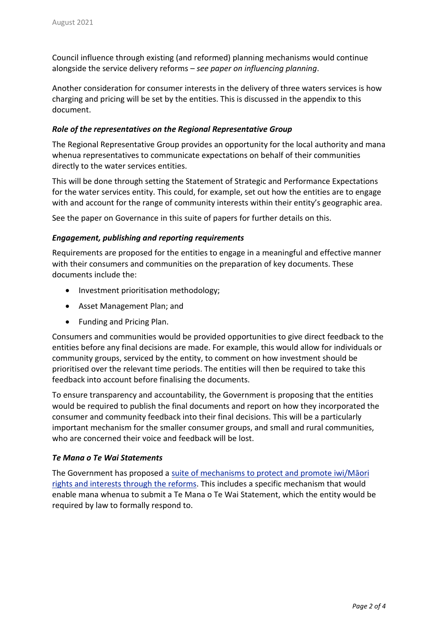Council influence through existing (and reformed) planning mechanisms would continue alongside the service delivery reforms – *see paper on influencing planning*.

Another consideration for consumer interests in the delivery of three waters services is how charging and pricing will be set by the entities. This is discussed in the appendix to this document.

# *Role of the representatives on the Regional Representative Group*

The Regional Representative Group provides an opportunity for the local authority and mana whenua representatives to communicate expectations on behalf of their communities directly to the water services entities.

This will be done through setting the Statement of Strategic and Performance Expectations for the water services entity. This could, for example, set out how the entities are to engage with and account for the range of community interests within their entity's geographic area.

See the paper on Governance in this suite of papers for further details on this.

# *Engagement, publishing and reporting requirements*

Requirements are proposed for the entities to engage in a meaningful and effective manner with their consumers and communities on the preparation of key documents. These documents include the:

- Investment prioritisation methodology;
- Asset Management Plan; and
- Funding and Pricing Plan.

Consumers and communities would be provided opportunities to give direct feedback to the entities before any final decisions are made. For example, this would allow for individuals or community groups, serviced by the entity, to comment on how investment should be prioritised over the relevant time periods. The entities will then be required to take this feedback into account before finalising the documents.

To ensure transparency and accountability, the Government is proposing that the entities would be required to publish the final documents and report on how they incorporated the consumer and community feedback into their final decisions. This will be a particularly important mechanism for the smaller consumer groups, and small and rural communities, who are concerned their voice and feedback will be lost.

## *Te Mana o Te Wai Statements*

The Government has proposed a suite of [mechanisms](https://www.dia.govt.nz/diawebsite.nsf/Files/Three-waters-reform-programme/$file/cabinet-paper-three-and-minute-protecting-and-promoting-iwi-maori-rights-and-interests-30-june-2021.pdf) to protect and promote iwi/Māori rights and [interests](https://www.dia.govt.nz/diawebsite.nsf/Files/Three-waters-reform-programme/$file/cabinet-paper-three-and-minute-protecting-and-promoting-iwi-maori-rights-and-interests-30-june-2021.pdf) through the reforms. This includes a specific mechanism that would enable mana whenua to submit a Te Mana o Te Wai Statement, which the entity would be required by law to formally respond to.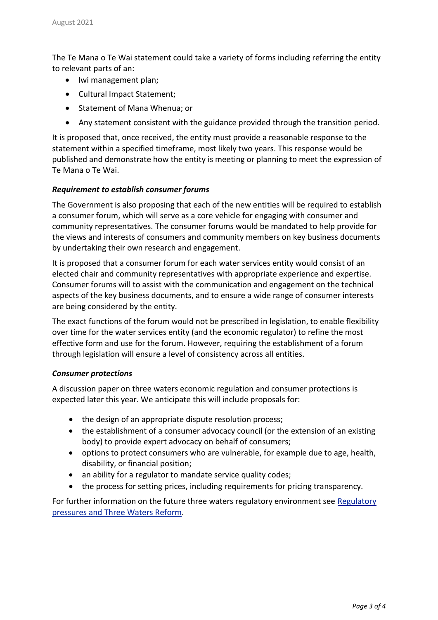The Te Mana o Te Wai statement could take a variety of forms including referring the entity to relevant parts of an:

- Iwi management plan;
- Cultural Impact Statement;
- Statement of Mana Whenua; or
- Any statement consistent with the guidance provided through the transition period.

It is proposed that, once received, the entity must provide a reasonable response to the statement within a specified timeframe, most likely two years. This response would be published and demonstrate how the entity is meeting or planning to meet the expression of Te Mana o Te Wai.

#### *Requirement to establish consumer forums*

The Government is also proposing that each of the new entities will be required to establish a consumer forum, which will serve as a core vehicle for engaging with consumer and community representatives. The consumer forums would be mandated to help provide for the views and interests of consumers and community members on key business documents by undertaking their own research and engagement.

It is proposed that a consumer forum for each water services entity would consist of an elected chair and community representatives with appropriate experience and expertise. Consumer forums will to assist with the communication and engagement on the technical aspects of the key business documents, and to ensure a wide range of consumer interests are being considered by the entity.

The exact functions of the forum would not be prescribed in legislation, to enable flexibility over time for the water services entity (and the economic regulator) to refine the most effective form and use for the forum. However, requiring the establishment of a forum through legislation will ensure a level of consistency across all entities.

#### *Consumer protections*

A discussion paper on three waters economic regulation and consumer protections is expected later this year. We anticipate this will include proposals for:

- the design of an appropriate dispute resolution process;
- the establishment of a consumer advocacy council (or the extension of an existing body) to provide expert advocacy on behalf of consumers;
- options to protect consumers who are vulnerable, for example due to age, health, disability, or financial position;
- an ability for a regulator to mandate service quality codes;
- the process for setting prices, including requirements for pricing transparency.

For further information on the future three waters regulatory environment see [Regulatory](https://www.dia.govt.nz/Three-Waters-Reform-Programme#regulatory-pressures-and-three-waters-reform) [pressures](https://www.dia.govt.nz/Three-Waters-Reform-Programme#regulatory-pressures-and-three-waters-reform) and Three Waters Reform.